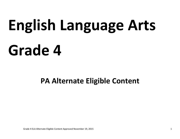# **English Language Arts Grade 4**

# **PA Alternate Eligible Content**

Grade 4 ELA Alternate Eligible Content Approved November 19, 2015 1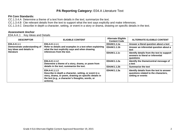#### **PA Core Standards:**

CC.1.3.4.A Determine a theme of a text from details in the text; summarize the text.

CC.1.3.4.B Cite relevant details from the text to support what the text says explicitly and make inferences.

CC.1.3.4.C Describe in depth a character, setting, or event in a story or drama, drawing on specific details in the text.

#### **Assessment Anchor**

E04.A-K.1 Key Ideas and Details

| <b>DESCRIPTOR</b>                                                      | <b>ELIGIBLE CONTENT</b>                                                                                                                                                                           | <b>Alternate Eligible</b><br><b>Content Code</b> | <b>ALTERNATE ELIGIBLE CONTENT</b>                                                                     |
|------------------------------------------------------------------------|---------------------------------------------------------------------------------------------------------------------------------------------------------------------------------------------------|--------------------------------------------------|-------------------------------------------------------------------------------------------------------|
| E04.A-K.1.1                                                            | E04.A-K.1.1.1<br>Refer to details and examples in a text when explaining<br>what the text explicitly says and when drawing<br>inferences from the text.                                           | E04AK1.1.1a                                      | Answer a literal question about a text                                                                |
| Demonstrate understanding of<br>key ideas and details in<br>literature |                                                                                                                                                                                                   | E04AK1.1.1b                                      | Answer an inferential question about a<br>text                                                        |
|                                                                        |                                                                                                                                                                                                   | E04AK1.1.1c                                      | Identify details from the text to support<br>answers to literal or inferential<br>questions           |
|                                                                        | E04.A-K.1.1.2<br>Determine a theme of a story, drama, or poem from<br>details in the text; summarize the text.                                                                                    | E04AK1.1.2a                                      | Identify the theme/central message of<br>a text                                                       |
|                                                                        |                                                                                                                                                                                                   | E04AK1.1.2b                                      | <b>Summarize the text</b>                                                                             |
|                                                                        | E04.A-K.1.1.3<br>Describe in depth a character, setting, or event in a<br>story, drama, or poem, drawing on specific details in<br>the text (e.g., a character's thoughts, words, or<br>actions). | E04AK1.1.3a                                      | Identify details from the text to answer<br>questions related to the characters,<br>setting or events |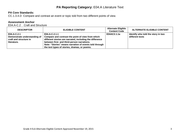# **PA Core Standards:**

CC.1.3.4.D Compare and contrast an event or topic told from two different points of view.

# **Assessment Anchor**

E04.A-C.2 Craft and Structure

| <b>DESCRIPTOR</b>                                                                    | <b>ELIGIBLE CONTENT</b>                                                                                                                                                                                                                                                                 | <b>Alternate Eligible</b><br><b>Content Code</b> | <b>ALTERNATE ELIGIBLE CONTENT</b>                     |
|--------------------------------------------------------------------------------------|-----------------------------------------------------------------------------------------------------------------------------------------------------------------------------------------------------------------------------------------------------------------------------------------|--------------------------------------------------|-------------------------------------------------------|
| E04.A-C.2.1<br>Demonstrate understanding of<br>craft and structure in<br>literature. | E04.A-C.2.1.1<br>Compare and contrast the point of view from which<br>different stories are narrated, including the difference<br>between first- and third-person narrations.<br>Note: "Stories" means narration of events told through<br>the text types of stories, dramas, or poems. | E04AC2.1.1a                                      | Identify who told the story in two<br>different texts |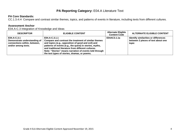# **PA Core Standards:**

CC.1.3.4.H Compare and contrast similar themes, topics, and patterns of events in literature, including texts from different cultures.

# **Assessment Anchor**

E04.A-C.3 Integration of Knowledge and Ideas

| <b>DESCRIPTOR</b>                                                                                  | <b>ELIGIBLE CONTENT</b>                                                                                                                                                                                                                                                                                                                                 | <b>Alternate Eligible</b><br><b>Content Code</b> | <b>ALTERNATE ELIGIBLE CONTENT</b>                                                   |
|----------------------------------------------------------------------------------------------------|---------------------------------------------------------------------------------------------------------------------------------------------------------------------------------------------------------------------------------------------------------------------------------------------------------------------------------------------------------|--------------------------------------------------|-------------------------------------------------------------------------------------|
| E04.A-C.3.1<br>Demonstrate understanding of<br>connections within, between,<br>and/or among texts. | E04.A-C.3.1.1<br>Compare and contrast the treatment of similar themes<br>and topics (e.g., opposition of good and evil) and<br>patterns of events (e.g., the quest) in stories, myths,<br>and traditional literature from different cultures.<br>Note: "Stories" means narration of events told through<br>the text types of stories, dramas, or poems. | E04AC3.1.1a                                      | Identify similarities or differences<br>between 2 pieces of text about one<br>topic |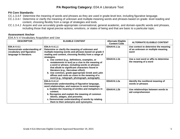#### **PA Core Standards:**

- CC.1.3.4.F Determine the meaning of words and phrases as they are used in grade-level text, including figurative language.
- CC.1.3.4.I Determine or clarify the meaning of unknown and multiple-meaning words and phrases based on grade- level reading and content, choosing flexibly from a range of strategies and tools.
- CC.1.3.4.J Acquire and use accurately grade-appropriate conversational, general academic, and domain-specific words and phrases, including those that signal precise actions, emotions, or states of being and that are basic to a particular topic.

#### **Assessment Anchor**

E04.A-V.4 Vocabulary Acquisition and Use

| <b>DESCRIPTOR</b>                                                                                                                                                                                                                                                                                                                                                                                                                                                                                                                                                                                                                                               | <b>ELIGIBLE CONTENT</b>                                                                                                                                                                                                                        | <b>Alternate Eligible</b><br><b>Content Code</b>                                  | <b>ALTERNATE ELIGIBLE CONTENT</b>                              |
|-----------------------------------------------------------------------------------------------------------------------------------------------------------------------------------------------------------------------------------------------------------------------------------------------------------------------------------------------------------------------------------------------------------------------------------------------------------------------------------------------------------------------------------------------------------------------------------------------------------------------------------------------------------------|------------------------------------------------------------------------------------------------------------------------------------------------------------------------------------------------------------------------------------------------|-----------------------------------------------------------------------------------|----------------------------------------------------------------|
| E04.A-V.4.1.1<br>E04.A-V.4.1<br>Demonstrate understanding of<br>Determine or clarify the meaning of unknown and<br>vocabulary and figurative<br>multiple-meaning words and phrases based on grade 4<br>reading and content, choosing flexibly from a range of<br>language in literature.<br>strategies.<br>a. Use context (e.g., definitions, examples, or<br>restatements in text) as a clue to the meaning of<br>a word or phrase, including words or phrases<br>that allude to significant characters found in<br>literature (e.g., Herculean effort).<br>b. Use common, grade-appropriate Greek and Latin<br>affixes and roots as clues to the meaning of a | E04AV4.1.1a                                                                                                                                                                                                                                    | Use context to determine the meaning<br>of an unknown or multiple meaning<br>word |                                                                |
|                                                                                                                                                                                                                                                                                                                                                                                                                                                                                                                                                                                                                                                                 | word (e.g., telegraph, photograph, autograph).                                                                                                                                                                                                 | E04AV4.1.1b                                                                       | Use a root word or affix to determine<br>the meaning of a word |
|                                                                                                                                                                                                                                                                                                                                                                                                                                                                                                                                                                                                                                                                 | E04.A-V.4.1.2<br>Demonstrate understanding of figurative language,<br>word relationships, and nuances in word meanings.                                                                                                                        | E04AV4.1.2a                                                                       | Identify the nonliteral meaning of<br>words or phrases         |
|                                                                                                                                                                                                                                                                                                                                                                                                                                                                                                                                                                                                                                                                 | a. Explain the meaning of similes and metaphors in<br>context.<br>b. Recognize and explain the meaning of common<br>idioms, adages, and proverbs.<br>c. Demonstrate understanding of words by relating<br>them to their antonyms and synonyms. | E04AV4.1.2b                                                                       | Use relationships between words to<br>aid comprehension        |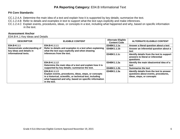# **PA Core Standards:**

CC.1.2.4.A Determine the main idea of a text and explain how it is supported by key details; summarize the text.

CC.1.2.4.B Refer to details and examples in text to support what the text says explicitly and make inferences.

CC.1.2.4.C Explain events, procedures, ideas, or concepts in a text, including what happened and why, based on specific information in the text.

#### **Assessment Anchor**

E04.B-K.1 Key Ideas and Details

| <b>DESCRIPTOR</b>                                                                | <b>ELIGIBLE CONTENT</b>                                                                                                                                                                                     | <b>Alternate Eligible</b><br><b>Content Code</b> | <b>ALTERNATE ELIGIBLE CONTENT</b>                                                                            |
|----------------------------------------------------------------------------------|-------------------------------------------------------------------------------------------------------------------------------------------------------------------------------------------------------------|--------------------------------------------------|--------------------------------------------------------------------------------------------------------------|
| E04.B-K.1.1                                                                      | E04.B-K.1.1.1<br>Refer to details and examples in a text when explaining<br>what the text says explicitly and when drawing<br>inferences from the text.                                                     | E04BK1.1.1a                                      | Answer a literal question about a text                                                                       |
| Demonstrate understanding of<br>key ideas and details in<br>informational texts. |                                                                                                                                                                                                             | E04BK1.1.1b                                      | Answer an inferential question about a<br>text                                                               |
|                                                                                  |                                                                                                                                                                                                             | E04BK1.1.1c                                      | Identify details from the text to support<br>answers to literal or inferential<br>questions                  |
|                                                                                  | E04.B-K.1.1.2<br>Determine the main idea of a text and explain how it is<br>supported by key details; summarize the text.                                                                                   | E04BK1.1.2a                                      | Identify the main idea/central idea of a<br>text                                                             |
|                                                                                  |                                                                                                                                                                                                             | E04BK1.1.2b                                      | <b>Summarize the text</b>                                                                                    |
|                                                                                  | E04.B-K.1.1.3<br>Explain events, procedures, ideas, steps, or concepts<br>in a historical, scientific, or technical text, including<br>what happened and why, based on specific information<br>in the text. | E04BK1.1.3a                                      | Identify details from the text to answer<br>questions about events, procedures,<br>ideas, steps, or concepts |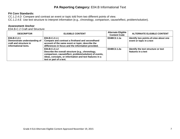# **PA Core Standards:**

CC.1.2.4.D Compare and contrast an event or topic told from two different points of view.

CC.1.2.4.E Use text structure to interpret information (e.g., chronology, comparison, cause/effect, problem/solution).

#### **Assessment Anchor**

E04.B-C.2 Craft and Structure

| <b>DESCRIPTOR</b>                                                                             | <b>ELIGIBLE CONTENT</b>                                                                                                                                                                                             | <b>Alternate Eligible</b><br><b>Content Code</b> | <b>ALTERNATE ELIGIBLE CONTENT</b>                                 |
|-----------------------------------------------------------------------------------------------|---------------------------------------------------------------------------------------------------------------------------------------------------------------------------------------------------------------------|--------------------------------------------------|-------------------------------------------------------------------|
| E04.B-C.2.1<br>Demonstrate understanding of<br>craft and structure in<br>informational texts. | $E04.B-C.2.1.1$<br>Compare and contrast a firsthand and secondhand<br>account of the same event or topic; describe the<br>differences in focus and the information provided.                                        | E04BC2.1.1a                                      | Identify two points-of-view about one<br>event or topic in a text |
|                                                                                               | $E04.B-C.2.1.2$<br>Describe the overall structure (e.g., chronology,<br>comparison, cause/effect, problem/solution) of events,<br>ideas, concepts, or information and text features in a<br>text or part of a text. | E04BC2.1.2a                                      | Identify the text structure or text<br>features in a text         |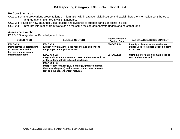# **PA Core Standards:**

- CC.1.2.4.G Interpret various presentations of information within a text or digital source and explain how the information contributes to an understanding of text in which it appears.
- CC.1.2.4.H Explain how an author uses reasons and evidence to support particular points in a text.
- CC.1.2.4.I Integrate information from two texts on the same topic to demonstrate understanding of that topic.

### **Assessment Anchor**

E03.B-C.3 Integration of Knowledge and Ideas

| <b>DESCRIPTOR</b>                                                                                                   | <b>ELIGIBLE CONTENT</b>                                                                                                                                                       | <b>Alternate Eligible</b><br><b>Content Code</b> | <b>ALTERNATE ELIGIBLE CONTENT</b>                                                              |
|---------------------------------------------------------------------------------------------------------------------|-------------------------------------------------------------------------------------------------------------------------------------------------------------------------------|--------------------------------------------------|------------------------------------------------------------------------------------------------|
| E04.B-C.3.1<br>Demonstrate understanding<br>of connections within,<br>between, and/or among<br>informational texts. | E04.B-C.3.1.1<br>Explain how an author uses reasons and evidence to<br>support particular points in a text.                                                                   | E04BC3.1.1a                                      | Identify a piece of evidence that an<br>author uses to support a specific point<br>in the text |
|                                                                                                                     | $E04.B-C.3.1.2$<br>Integrate information from two texts on the same topic in<br>order to demonstrate subject knowledge.                                                       | E04BC3.1.2a                                      | Combine information from 2 pieces of<br>text on the same topic                                 |
|                                                                                                                     | E04.B-C.3.1.3<br>Interpret text features (e.g., headings, graphics, charts,<br>timelines, diagrams) and/or make connections between<br>text and the content of text features. |                                                  |                                                                                                |